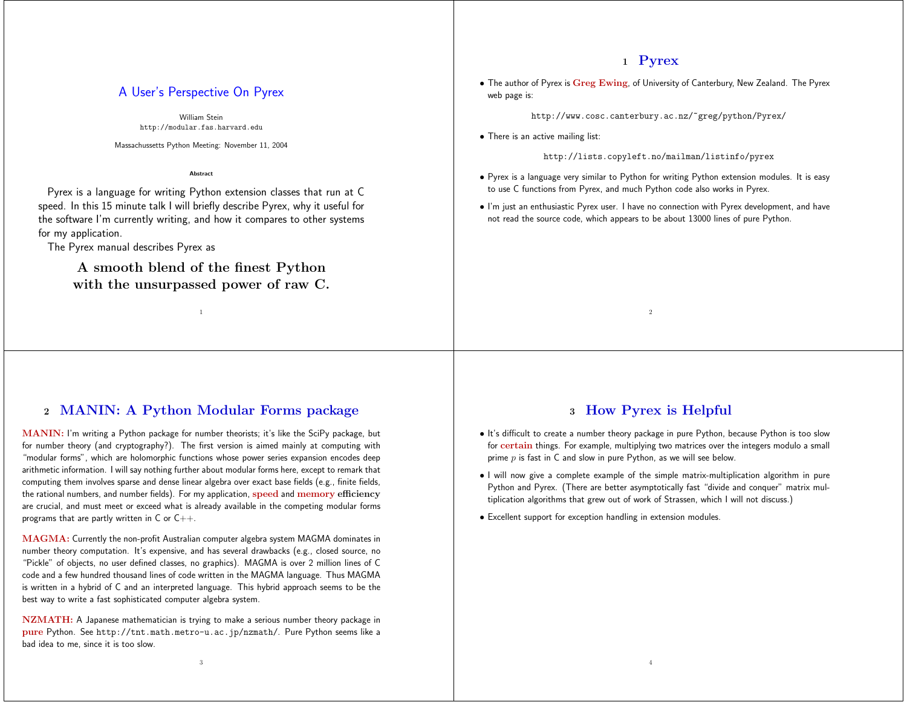## **1 Pyrex**

• The author of Pyrex is **Greg Ewing**, of University of Canterbury, New Zealand. The Pyrex web page is:

http://www.cosc.canterbury.ac.nz/~greg/python/Pyrex/

• There is an active mailing list:

http://lists.copyleft.no/mailman/listinfo/pyrex

- Pyrex is <sup>a</sup> language very similar to Python for writing Python extension modules. It is easy to use C functions from Pyrex, and much Python code also works in Pyrex.
- I'm just an enthusiastic Pyrex user. I have no connection with Pyrex development, and have not read the source code, which appears to be about 13000 lines of pure Python.

# A User's Perspective On Pyrex

William Steinhttp://modular.fas.harvard.edu

Massachussetts Python Meeting: November 11, 2004

**Abstract**

Pyrex is <sup>a</sup> language for writing Python extension classes that run at C speed. In this 15 minute talk I will briefly describe Pyrex, why it useful for the software I'm currently writing, and how it compares to other systems for my application.

The Pyrex manual describes Pyrex as

**A smooth blend of the finest Python with the unsurpassed power of raw C.**

1

# **2 MANIN: A Python Modular Forms package**

**MANIN:** I'm writing <sup>a</sup> Python package for number theorists; it's like the SciPy package, but for number theory (and cryptography?). The first version is aimed mainly at computing with "modular forms", which are holomorphic functions whose power series expansion encodes deep arithmetic information. I will say nothing further about modular forms here, except to remark that computing them involves sparse and dense linear algebra over exact base fields (e.g., finite fields, the rational numbers, and number fields). For my application, **speed** and **memory efficiency** are crucial, and must meet or exceed what is already available in the competing modular forms programs that are partly written in  $C$  or  $C_{++}$ .

**MAGMA:** Currently the non-profit Australian computer algebra system MAGMA dominates in number theory computation. It's expensive, and has several drawbacks (e.g., closed source, no "Pickle" of objects, no user defined classes, no graphics). MAGMA is over <sup>2</sup> million lines of C code and <sup>a</sup> few hundred thousand lines of code written in the MAGMA language. Thus MAGMA is written in <sup>a</sup> hybrid of C and an interpreted language. This hybrid approach seems to be the best way to write <sup>a</sup> fast sophisticated computer algebra system.

**NZMATH:** A Japanese mathematician is trying to make <sup>a</sup> serious number theory package in **pure** Python. See http://tnt.math.metro-u.ac.jp/nzmath/. Pure Python seems like <sup>a</sup> bad idea to me, since it is too slow.

3

## **3 How Pyrex is Helpful**

2

- It's difficult to create <sup>a</sup> number theory package in pure Python, because Python is too slow for **certain** things. For example, multiplying two matrices over the integers modulo <sup>a</sup> small prime  $p$  is fast in  $C$  and slow in pure Python, as we will see below.
- I will now give <sup>a</sup> complete example of the simple matrix-multiplication algorithm in pure Python and Pyrex. (There are better asymptotically fast "divide and conquer" matrix multiplication algorithms that grew out of work of Strassen, which <sup>I</sup> will not discuss.)

4

• Excellent support for exception handling in extension modules.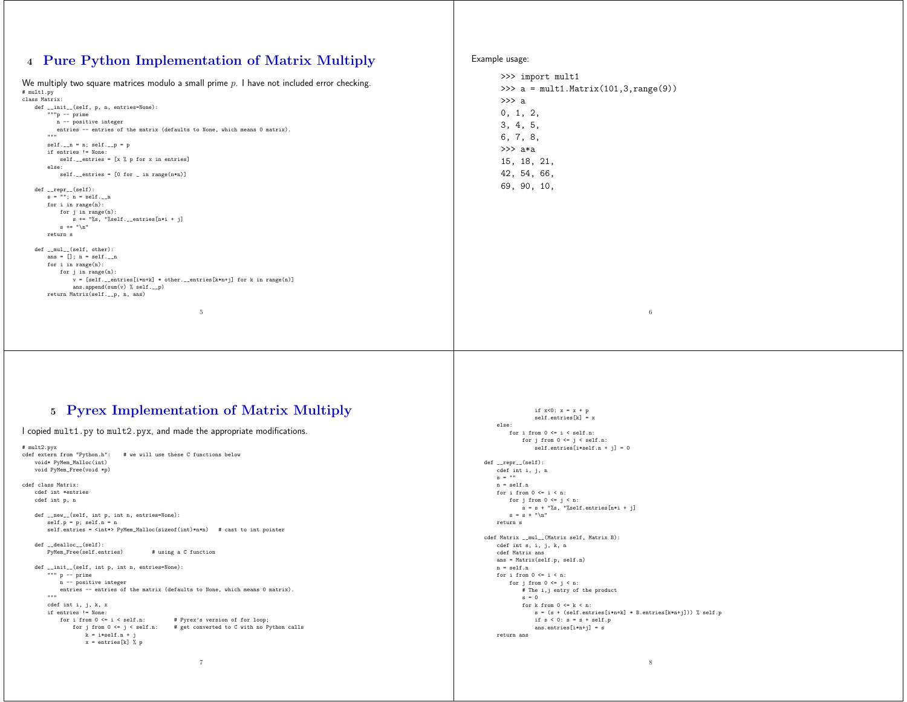#### **4 Pure Python Implementation of Matrix Multiply**

|                                                                                                              | >>> import mult1                         |
|--------------------------------------------------------------------------------------------------------------|------------------------------------------|
| We multiply two square matrices modulo a small prime $p$ . I have not included error checking.<br># mult1.py | >>> $a = mult1.Matrix(101, 3, range(9))$ |
| class Matrix:                                                                                                | $\gg$ a                                  |
| def __init__(self, p, n, entries=None):                                                                      |                                          |
| $"""p -- prime$                                                                                              | 0, 1, 2,                                 |
| n -- positive integer                                                                                        | 3, 4, 5,                                 |
| entries -- entries of the matrix (defaults to None, which means 0 matrix).<br>11.11.11                       |                                          |
|                                                                                                              | 6, 7, 8,                                 |
| $self._-n = n; self._-p = p$<br>if entries != None:                                                          | $\gg$ a*a                                |
| self. __ entries = $[x \nmid y$ p for x in entries]                                                          |                                          |
| else:                                                                                                        | 15, 18, 21,                              |
| $self._= entries = [0 for _= in range(n*n)]$                                                                 | 42, 54, 66,                              |
|                                                                                                              |                                          |
| $def_{ -r}epr_{ -}(self):$                                                                                   | 69, 90, 10,                              |
| $s = ""; n = self._-n$                                                                                       |                                          |
| for $i$ in range $(n)$ :                                                                                     |                                          |
| for $j$ in range $(n)$ :                                                                                     |                                          |
| $s$ += "%s, "%self.__entries[n*i + j]                                                                        |                                          |
| $s \leftarrow$ " $n$ "                                                                                       |                                          |
| return s                                                                                                     |                                          |
| $def \_\_mul\_\_ (self, other):$                                                                             |                                          |
| ans = $[]$ ; n = self.__n                                                                                    |                                          |
| for $i$ in range $(n)$ :                                                                                     |                                          |
| for $j$ in range $(n)$ :                                                                                     |                                          |
| $v = [self._=entries[i*n+k] * other._=entries[k*n+j] for k in range(n)]$                                     |                                          |
| ans.append(sum(v) % self.__p)                                                                                |                                          |
| return Matrix(self.__p, n, ans)                                                                              |                                          |
|                                                                                                              |                                          |
| 5                                                                                                            | $\,6\,$                                  |
|                                                                                                              |                                          |
|                                                                                                              |                                          |

Example usage:

### **5 Pyrex Implementation of Matrix Multiply**

I copied mult1.py to mult2.pyx, and made the appropriate modifications.

```
# mult2.pyx
cdef extern from "Python.h": # we will use these C functions below
    void* PyMem_Malloc(int)
    void PyMem_Free(void *p)
cdef class Matrix:
cdef int *entriescdef int p, n
     def __new__(self, int p, int n, entries=None):
        self.p = p; self.n = nself.entries = <int*> PyMem_Malloc(sizeof(int)*n*n) # cast to int pointer
     def __dealloc__(self):-<br>PyMem_Free(self.entries) # using a C function
     def __init__(self, int p, int n, entries=None):
          """ p -- prime
            n -- positive integer
            entries -- entries of the matrix (defaults to None, which means 0 matrix).
        """"""

cdef int i, j, k, x
        if entries != None:for i from 0 \le i \le self.n:
                r i from 0 \le i \le \text{self.n:} # Pyrex's version of for loop;<br>for j from 0 \le j \le \text{self.n:} # get converted to C with no Py
                                                 # get converted to C with no Python calls
                    k = i*self.n + ix = entries[k] \chi p
                                                            7
```

```
if x<0: x = x + pself.entries[k] = x
    else:
      for i from 0 \leq i \leq self.n:
            for j from 0 \leq j \leq \text{self.n}:self. entries[i*self.n + j] = 0def __repr__(self):
   cdef int i, j, n
   s = 10n = self.nfor i from 0 \leq i \leq n:
      for j from 0 <= j < n:
        s = s + "\s, "%self.entries[n*i + j]
        s = s + "\n"
   return scdef Matrix __mul__(Matrix self, Matrix B):
   cdef int s, i, j, k, n
   cdef Matrix ans
ans = Matrix(self.p, self.n)
    n = self.n
   for i from 0 \leq i \leq n:
        for j from 0 \leq j \leq n:
           # The i,j entry of the product
           s = 0for k from 0 \leq k \leq n:

s = (s + (self.entries[i*n+k] * B.entries[k*n+j])) % self.p
                if s < 0: s = s + self.p
               ans.entries[i*n+j] = s
   return ans
```
8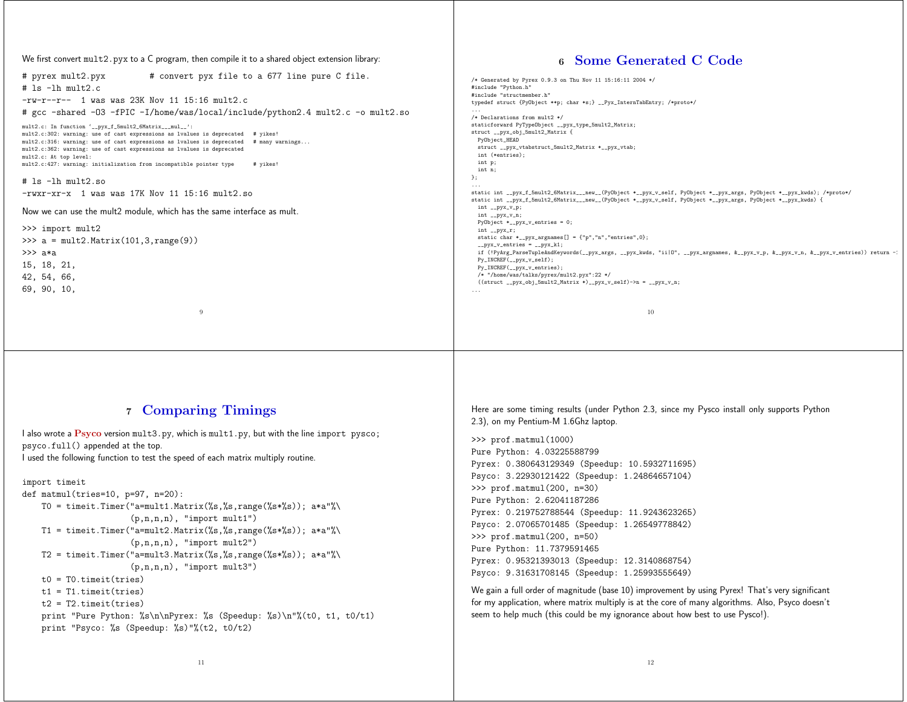We first convert mult2.pyx to <sup>a</sup> C program, then compile it to <sup>a</sup> shared object extension library:

| # convert pyx file to a 677 line pure C file.<br># pyrex mult2.pyx                     | /* Generated by Pyrex 0.9.3 on Thu Nov 11 15:16:11 2004 */                                                                            |
|----------------------------------------------------------------------------------------|---------------------------------------------------------------------------------------------------------------------------------------|
| $#$ 1s $-1h$ mult2.c                                                                   | #include "Python.h"                                                                                                                   |
|                                                                                        | #include "structmember.h"                                                                                                             |
| $-rw-r--r--$ 1 was was 23K Nov 11 15:16 mult2.c                                        | typedef struct {PyObject **p; char *s;} __Pyx_InternTabEntry; /*proto*/                                                               |
| # gcc -shared -03 -fPIC -I/home/was/local/include/python2.4 mult2.c -o mult2.so        | /* Declarations from mult2 */                                                                                                         |
| mult2.c: In function '__pyx_f_5mult2_6Matrix___mul__':                                 | staticforward PyTypeObject __pyx_type_5mult2_Matrix;                                                                                  |
| mult2.c:302: warning: use of cast expressions as lvalues is deprecated # yikes!        | struct __pyx_obj_5mult2_Matrix {                                                                                                      |
| mult2.c:316: warning: use of cast expressions as lvalues is deprecated # many warnings | PyObject_HEAD                                                                                                                         |
| mult2.c:362: warning: use of cast expressions as lvalues is deprecated                 | struct __pyx_vtabstruct_5mult2_Matrix *__pyx_vtab;                                                                                    |
| mult2.c: At top level:                                                                 | int (*entries);                                                                                                                       |
| mult2.c:427: warning: initialization from incompatible pointer type<br># yikes!        | int p;<br>int n;                                                                                                                      |
|                                                                                        | }:                                                                                                                                    |
| $#$ 1s $-1h$ mult2.so                                                                  |                                                                                                                                       |
| $-rwxr-xr- x$ 1 was was 17K Nov 11 15:16 mult2.so                                      | static int __pyx_f_5mult2_6Matrix___new__(PyObject *__pyx_v_self, PyObject *__pyx_args, PyObject *__pyx_kwds); /*proto*/              |
|                                                                                        | static int __pyx_f_5mult2_6Matrix___new__(PyObject *__pyx_v_self, PyObject *__pyx_args, PyObject *__pyx_kwds) {                       |
| Now we can use the mult2 module, which has the same interface as mult.                 | int __pyx_v_p;<br>int __pyx_v_n;                                                                                                      |
|                                                                                        | PyObject $*_{-$ pyx_v_entries = 0;                                                                                                    |
| >>> import mult2                                                                       | $int_{--}$ pyx_r;                                                                                                                     |
| >>> $a = mult2 Matrix(101, 3, range(9))$                                               | static char *__pyx_argnames[] = ${\'i}$ p", "n", "entries", 0};                                                                       |
|                                                                                        | $_{--}$ pyx_v_entries = $_{--}$ pyx_k1;                                                                                               |
| >>> a*a                                                                                | if (!PyArg_ParseTupleAndKeywords(__pyx_args, __pyx_kwds, "ii 0", __pyx_argnames, &__pyx_v_p, &__pyx_v_n, &__pyx_v_entries)) return -1 |
| 15, 18, 21,                                                                            | $Py$ _INCREF(__pyx_v_self);<br>$Py$ _INCREF(__pyx_v_entries);                                                                         |
| 42, 54, 66,                                                                            | /* "/home/was/talks/pyrex/mult2.pyx":22 */                                                                                            |
| 69, 90, 10,                                                                            | $((struct \_pyx_obj_5mult2_Matrix * )\_pyx_v_self)$ ->n = _pyx_v_n;                                                                   |
|                                                                                        | $\cdots$                                                                                                                              |
|                                                                                        |                                                                                                                                       |
| $\Omega$                                                                               | 10                                                                                                                                    |
|                                                                                        |                                                                                                                                       |
|                                                                                        |                                                                                                                                       |

#### **7 Comparing Timings**

I also wrote <sup>a</sup> **Psyco** version mult3.py, which is mult1.py, but with the line import pysco; psyco.full() appended at the top. I used the following function to test the speed of each matrix multiply routine.

import timeit

```
def matmul(tries=10, p=97, n=20):
   T0 = timeit.Timer("a=mult1.Matrix(%s,%s,range(%s*%s)); a*a"%\
                      (p,n,n,n), "import mult1")
   T1 = timeit.Timer("a=mult2.Matrix(%s,%s,range(%s*%s)); a*a"%\
                      (p,n,n,n), "import mult2")
   T2 = timeit.Timer("a=mult3.Matrix(%s,%s,range(%s*%s)); a*a"%\
                      (p,n,n,n), "import mult3")
   t0 = T0.timeit(tries)
   t1 = T1.timeit(tries)
   t2 = T2.timeit(tries)print "Pure Python: %s\n\nPyrex: %s (Speedup: %s)\n"%(t0, t1, t0/t1)
   print "Psyco: %s (Speedup: %s)"%(t2, t0/t2)
```
Here are some timing results (under Python 2.3, since my Pysco install only supports Python 2.3), on my Pentium-M 1.6Ghz laptop.

**6 Some Generated C Code**

>>> prof.matmul(1000) Pure Python: 4.03225588799 Pyrex: 0.380643129349 (Speedup: 10.5932711695) Psyco: 3.22930121422 (Speedup: 1.24864657104) >>> prof.matmul(200, n=30) Pure Python: 2.62041187286 Pyrex: 0.219752788544 (Speedup: 11.9243623265) Psyco: 2.07065701485 (Speedup: 1.26549778842) >>> prof.matmul(200, n=50) Pure Python: 11.7379591465 Pyrex: 0.95321393013 (Speedup: 12.3140868754) Psyco: 9.31631708145 (Speedup: 1.25993555649)

We gain <sup>a</sup> full order of magnitude (base 10) improvement by using Pyrex! That's very significant for my application, where matrix multiply is at the core of many algorithms. Also, Psyco doesn't seem to help much (this could be my ignorance about how best to use Pysco!).